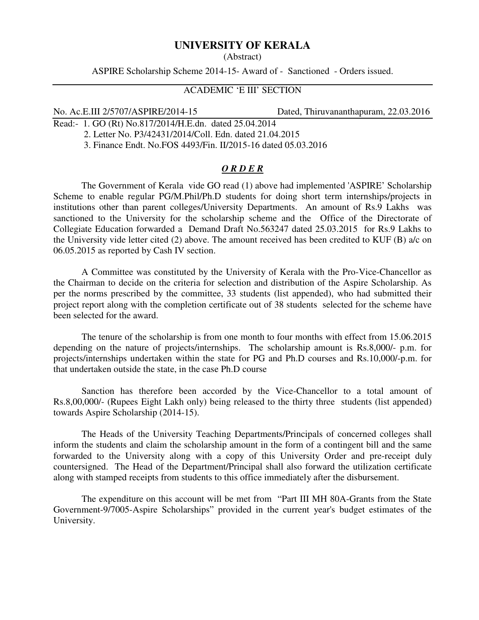# **UNIVERSITY OF KERALA**

(Abstract)

ASPIRE Scholarship Scheme 2014-15- Award of - Sanctioned - Orders issued.

## ACADEMIC 'E III' SECTION

No. Ac.E.III 2/5707/ASPIRE/2014-15 Dated, Thiruvananthapuram, 22.03.2016

Read:- 1. GO (Rt) No.817/2014/H.E.dn. dated 25.04.2014 2. Letter No. P3/42431/2014/Coll. Edn. dated 21.04.2015

3. Finance Endt. No.FOS 4493/Fin. II/2015-16 dated 05.03.2016

### *O R D E R*

The Government of Kerala vide GO read (1) above had implemented 'ASPIRE' Scholarship Scheme to enable regular PG/M.Phil/Ph.D students for doing short term internships/projects in institutions other than parent colleges/University Departments. An amount of Rs.9 Lakhs was sanctioned to the University for the scholarship scheme and the Office of the Directorate of Collegiate Education forwarded a Demand Draft No.563247 dated 25.03.2015 for Rs.9 Lakhs to the University vide letter cited (2) above. The amount received has been credited to KUF (B) a/c on 06.05.2015 as reported by Cash IV section.

A Committee was constituted by the University of Kerala with the Pro-Vice-Chancellor as the Chairman to decide on the criteria for selection and distribution of the Aspire Scholarship. As per the norms prescribed by the committee, 33 students (list appended), who had submitted their project report along with the completion certificate out of 38 students selected for the scheme have been selected for the award.

The tenure of the scholarship is from one month to four months with effect from 15.06.2015 depending on the nature of projects/internships. The scholarship amount is Rs.8,000/- p.m. for projects/internships undertaken within the state for PG and Ph.D courses and Rs.10,000/-p.m. for that undertaken outside the state, in the case Ph.D course

 Sanction has therefore been accorded by the Vice-Chancellor to a total amount of Rs.8,00,000/- (Rupees Eight Lakh only) being released to the thirty three students (list appended) towards Aspire Scholarship (2014-15).

 The Heads of the University Teaching Departments/Principals of concerned colleges shall inform the students and claim the scholarship amount in the form of a contingent bill and the same forwarded to the University along with a copy of this University Order and pre-receipt duly countersigned. The Head of the Department/Principal shall also forward the utilization certificate along with stamped receipts from students to this office immediately after the disbursement.

 The expenditure on this account will be met from "Part III MH 80A-Grants from the State Government-9/7005-Aspire Scholarships" provided in the current year's budget estimates of the University.